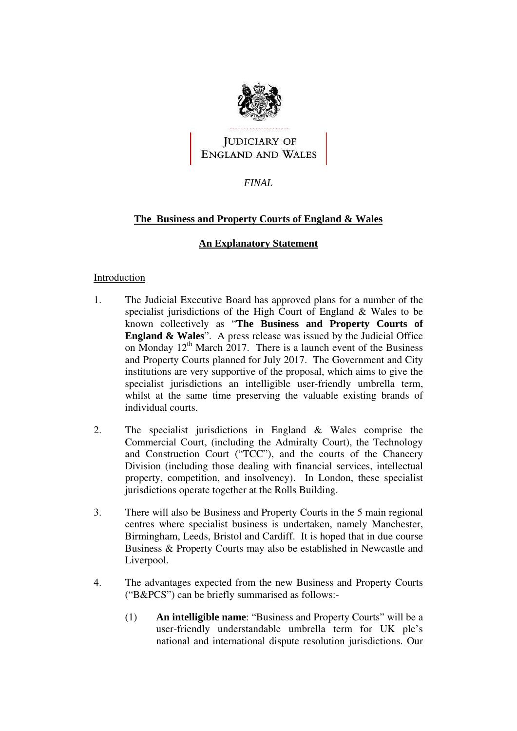

**FINAL**<br> **FINAL**<br> **FINAL** 

# **The Business and Property Courts of England & Wales**

## **An Explanatory Statement**

#### Introduction

- 1. The Judicial Executive Board has approved plans for a number of the specialist jurisdictions of the High Court of England & Wales to be known collectively as "**The Business and Property Courts of England & Wales**". A press release was issued by the Judicial Office on Monday  $12<sup>th</sup>$  March 2017. There is a launch event of the Business and Property Courts planned for July 2017. The Government and City institutions are very supportive of the proposal, which aims to give the specialist jurisdictions an intelligible user-friendly umbrella term, whilst at the same time preserving the valuable existing brands of individual courts.
- 2. The specialist jurisdictions in England & Wales comprise the Commercial Court, (including the Admiralty Court), the Technology and Construction Court ("TCC"), and the courts of the Chancery Division (including those dealing with financial services, intellectual property, competition, and insolvency). In London, these specialist jurisdictions operate together at the Rolls Building.
- 3. There will also be Business and Property Courts in the 5 main regional centres where specialist business is undertaken, namely Manchester, Birmingham, Leeds, Bristol and Cardiff. It is hoped that in due course Business & Property Courts may also be established in Newcastle and Liverpool.
- 4. The advantages expected from the new Business and Property Courts ("B&PCS") can be briefly summarised as follows:-
	- (1) **An intelligible name**: "Business and Property Courts" will be a user-friendly understandable umbrella term for UK plc's national and international dispute resolution jurisdictions. Our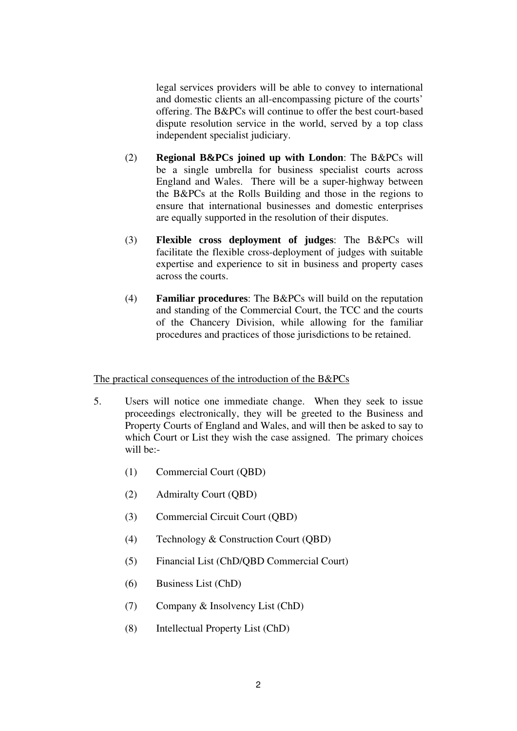legal services providers will be able to convey to international and domestic clients an all-encompassing picture of the courts' offering. The B&PCs will continue to offer the best court-based dispute resolution service in the world, served by a top class independent specialist judiciary.

- (2) **Regional B&PCs joined up with London**: The B&PCs will be a single umbrella for business specialist courts across England and Wales. There will be a super-highway between the B&PCs at the Rolls Building and those in the regions to ensure that international businesses and domestic enterprises are equally supported in the resolution of their disputes.
- (3) **Flexible cross deployment of judges**: The B&PCs will facilitate the flexible cross-deployment of judges with suitable expertise and experience to sit in business and property cases across the courts.
- (4) **Familiar procedures**: The B&PCs will build on the reputation and standing of the Commercial Court, the TCC and the courts of the Chancery Division, while allowing for the familiar procedures and practices of those jurisdictions to be retained.

The practical consequences of the introduction of the B&PCs

- 5. Users will notice one immediate change. When they seek to issue proceedings electronically, they will be greeted to the Business and Property Courts of England and Wales, and will then be asked to say to which Court or List they wish the case assigned. The primary choices will be:-
	- (1) Commercial Court (QBD)
	- (2) Admiralty Court (QBD)
	- (3) Commercial Circuit Court (QBD)
	- (4) Technology & Construction Court (QBD)
	- (5) Financial List (ChD/QBD Commercial Court)
	- (6) Business List (ChD)
	- (7) Company & Insolvency List (ChD)
	- (8) Intellectual Property List (ChD)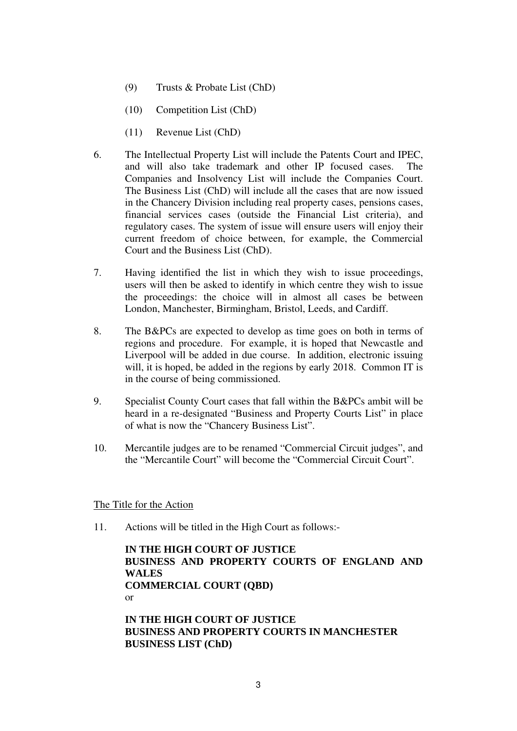- (9) Trusts & Probate List (ChD)
- (10) Competition List (ChD)
- (11) Revenue List (ChD)
- 6. The Intellectual Property List will include the Patents Court and IPEC, and will also take trademark and other IP focused cases. The Companies and Insolvency List will include the Companies Court. The Business List (ChD) will include all the cases that are now issued in the Chancery Division including real property cases, pensions cases, financial services cases (outside the Financial List criteria), and regulatory cases. The system of issue will ensure users will enjoy their current freedom of choice between, for example, the Commercial Court and the Business List (ChD).
- 7. Having identified the list in which they wish to issue proceedings, users will then be asked to identify in which centre they wish to issue the proceedings: the choice will in almost all cases be between London, Manchester, Birmingham, Bristol, Leeds, and Cardiff.
- 8. The B&PCs are expected to develop as time goes on both in terms of regions and procedure. For example, it is hoped that Newcastle and Liverpool will be added in due course. In addition, electronic issuing will, it is hoped, be added in the regions by early 2018. Common IT is in the course of being commissioned.
- 9. Specialist County Court cases that fall within the B&PCs ambit will be heard in a re-designated "Business and Property Courts List" in place of what is now the "Chancery Business List".
- International External Conductor of the "Mercantile Court" will become the "Commercial Circuit Court".<br>Title for the Action<br>Actions will be titled in the High Court as follows:-<br>IN THE HIGH COURT OF JUSTICE 10. Mercantile judges are to be renamed "Commercial Circuit judges", and the "Mercantile Court" will become the "Commercial Circuit Court".

#### The Title for the Action

11. Actions will be titled in the High Court as follows:-

**IN THE HIGH COURT OF JUSTICE BUSINESS AND PROPERTY COURTS OF ENGLAND AND WALES COMMERCIAL COURT (QBD)**  or

**IN THE HIGH COURT OF JUSTICE BUSINESS AND PROPERTY COURTS IN MANCHESTER BUSINESS LIST (ChD)**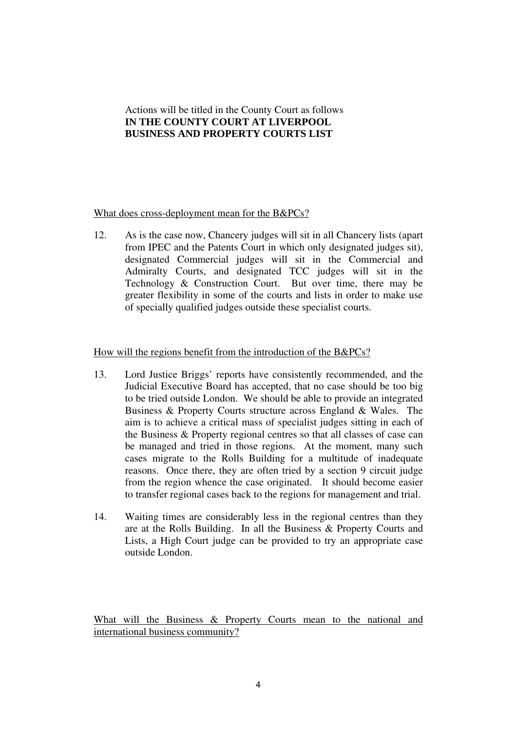# Actions will be titled in the County Court as follows **IN THE COUNTY COURT AT LIVERPOOL BUSINESS AND PROPERTY COURTS LIST**

### What does cross-deployment mean for the B&PCs?

12. As is the case now, Chancery judges will sit in all Chancery lists (apart from IPEC and the Patents Court in which only designated judges sit), designated Commercial judges will sit in the Commercial and Admiralty Courts, and designated TCC judges will sit in the Technology & Construction Court. But over time, there may be greater flexibility in some of the courts and lists in order to make use of specially qualified judges outside these specialist courts.

#### How will the regions benefit from the introduction of the B&PCs?

- 13. Lord Justice Briggs' reports have consistently recommended, and the Judicial Executive Board has accepted, that no case should be too big to be tried outside London. We should be able to provide an integrated Business & Property Courts structure across England & Wales. The aim is to achieve a critical mass of specialist judges sitting in each of the Business & Property regional centres so that all classes of case can be managed and tried in those regions. At the moment, many such cases migrate to the Rolls Building for a multitude of inadequate reasons. Once there, they are often tried by a section 9 circuit judge from the region whence the case originated. It should become easier to transfer regional cases back to the regions for management and trial.
- 14. Waiting times are considerably less in the regional centres than they are at the Rolls Building. In all the Business & Property Courts and Lists, a High Court judge can be provided to try an appropriate case outside London.

What will the Business & Property Courts mean to the national and international business community?